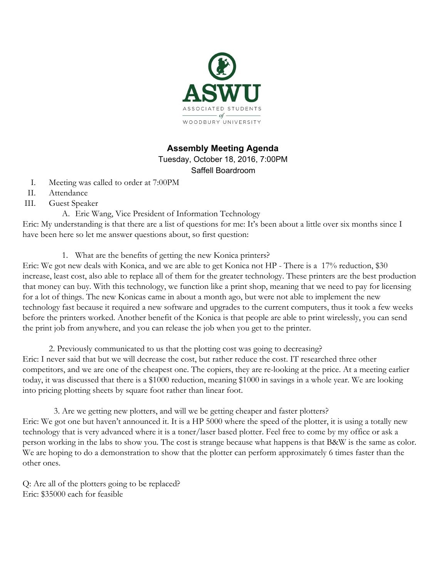

# **Assembly Meeting Agenda**

Tuesday, October 18, 2016, 7:00PM Saffell Boardroom

- I. Meeting was called to order at 7:00PM
- II. Attendance
- III. Guest Speaker
	- A. Eric Wang, Vice President of Information Technology

Eric: My understanding is that there are a list of questions for me: It's been about a little over six months since I have been here so let me answer questions about, so first question:

1. What are the benefits of getting the new Konica printers?

Eric: We got new deals with Konica, and we are able to get Konica not HP - There is a 17% reduction, \$30 increase, least cost, also able to replace all of them for the greater technology. These printers are the best production that money can buy. With this technology, we function like a print shop, meaning that we need to pay for licensing for a lot of things. The new Konicas came in about a month ago, but were not able to implement the new technology fast because it required a new software and upgrades to the current computers, thus it took a few weeks before the printers worked. Another benefit of the Konica is that people are able to print wirelessly, you can send the print job from anywhere, and you can release the job when you get to the printer.

2. Previously communicated to us that the plotting cost was going to decreasing? Eric: I never said that but we will decrease the cost, but rather reduce the cost. IT researched three other competitors, and we are one of the cheapest one. The copiers, they are re-looking at the price. At a meeting earlier today, it was discussed that there is a \$1000 reduction, meaning \$1000 in savings in a whole year. We are looking into pricing plotting sheets by square foot rather than linear foot.

3. Are we getting new plotters, and will we be getting cheaper and faster plotters? Eric: We got one but haven't announced it. It is a HP 5000 where the speed of the plotter, it is using a totally new technology that is very advanced where it is a toner/laser based plotter. Feel free to come by my office or ask a person working in the labs to show you. The cost is strange because what happens is that B&W is the same as color. We are hoping to do a demonstration to show that the plotter can perform approximately 6 times faster than the other ones.

Q: Are all of the plotters going to be replaced? Eric: \$35000 each for feasible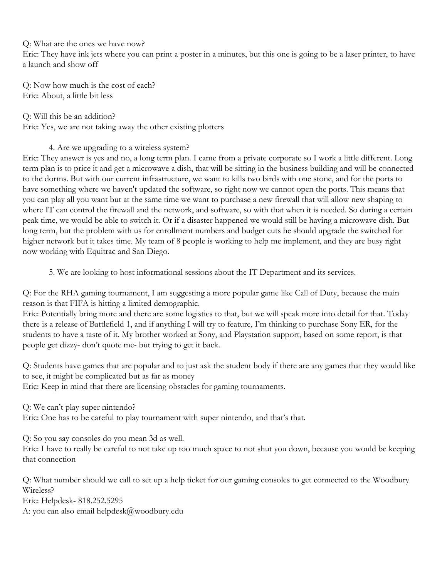Q: What are the ones we have now?

Eric: They have ink jets where you can print a poster in a minutes, but this one is going to be a laser printer, to have a launch and show off

Q: Now how much is the cost of each? Eric: About, a little bit less

Q: Will this be an addition? Eric: Yes, we are not taking away the other existing plotters

# 4. Are we upgrading to a wireless system?

Eric: They answer is yes and no, a long term plan. I came from a private corporate so I work a little different. Long term plan is to price it and get a microwave a dish, that will be sitting in the business building and will be connected to the dorms. But with our current infrastructure, we want to kills two birds with one stone, and for the ports to have something where we haven't updated the software, so right now we cannot open the ports. This means that you can play all you want but at the same time we want to purchase a new firewall that will allow new shaping to where IT can control the firewall and the network, and software, so with that when it is needed. So during a certain peak time, we would be able to switch it. Or if a disaster happened we would still be having a microwave dish. But long term, but the problem with us for enrollment numbers and budget cuts he should upgrade the switched for higher network but it takes time. My team of 8 people is working to help me implement, and they are busy right now working with Equitrac and San Diego.

5. We are looking to host informational sessions about the IT Department and its services.

Q: For the RHA gaming tournament, I am suggesting a more popular game like Call of Duty, because the main reason is that FIFA is hitting a limited demographic.

Eric: Potentially bring more and there are some logistics to that, but we will speak more into detail for that. Today there is a release of Battlefield 1, and if anything I will try to feature, I'm thinking to purchase Sony ER, for the students to have a taste of it. My brother worked at Sony, and Playstation support, based on some report, is that people get dizzy- don't quote me- but trying to get it back.

Q: Students have games that are popular and to just ask the student body if there are any games that they would like to see, it might be complicated but as far as money

Eric: Keep in mind that there are licensing obstacles for gaming tournaments.

Q: We can't play super nintendo?

Eric: One has to be careful to play tournament with super nintendo, and that's that.

Q: So you say consoles do you mean 3d as well.

Eric: I have to really be careful to not take up too much space to not shut you down, because you would be keeping that connection

Q: What number should we call to set up a help ticket for our gaming consoles to get connected to the Woodbury Wireless?

Eric: Helpdesk- 818.252.5295

A: you can also email helpdesk@woodbury.edu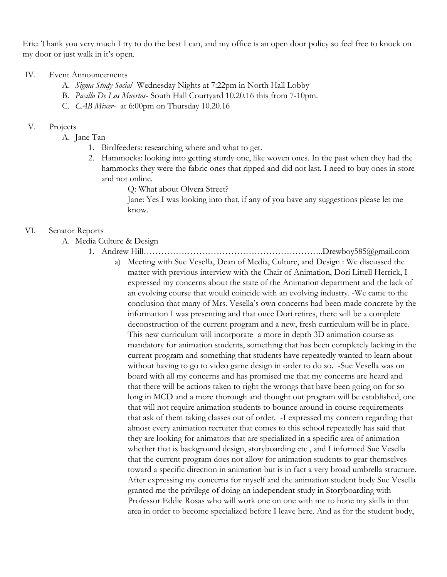Eric: Thank you very much I try to do the best I can, and my office is an open door policy so feel free to knock on my door or just walk in it's open.

#### IV. Event Announcements

- A. *Sigma Study Social* -Wednesday Nights at 7:22pm in North Hall Lobby
- B. *Pasillo De Los Muertos* South Hall Courtyard 10.20.16 this from 7-10pm.
- C. *CAB Mixer* at 6:00pm on Thursday 10.20.16

### V. Projects

- A. Jane Tan
	- 1. Birdfeeders: researching where and what to get.
	- 2. Hammocks: looking into getting sturdy one, like woven ones. In the past when they had the hammocks they were the fabric ones that ripped and did not last. I need to buy ones in store and not online.
		- Q: What about Olvera Street?

Jane: Yes I was looking into that, if any of you have any suggestions please let me know.

### VI. Senator Reports

- A. Media Culture & Design
	- 1. Andrew Hill……………………………………………………..Drewboy585@gmail.com a) Meeting with Sue Vesella, Dean of Media, Culture, and Design : We discussed the matter with previous interview with the Chair of Animation, Dori Littell Herrick, I expressed my concerns about the state of the Animation department and the lack of an evolving course that would coincide with an evolving industry. -We came to the conclusion that many of Mrs. Vesella's own concerns had been made concrete by the information I was presenting and that once Dori retires, there will be a complete deconstruction of the current program and a new, fresh curriculum will be in place. This new curriculum will incorporate a more in depth 3D animation course as mandatory for animation students, something that has been completely lacking in the current program and something that students have repeatedly wanted to learn about without having to go to video game design in order to do so. -Sue Vesella was on board with all my concerns and has promised me that my concerns are heard and that there will be actions taken to right the wrongs that have been going on for so long in MCD and a more thorough and thought out program will be established, one that will not require animation students to bounce around in course requirements that ask of them taking classes out of order. -I expressed my concern regarding that almost every animation recruiter that comes to this school repeatedly has said that they are looking for animators that are specialized in a specific area of animation whether that is background design, storyboarding etc , and I informed Sue Vesella that the current program does not allow for animation students to gear themselves toward a specific direction in animation but is in fact a very broad umbrella structure. After expressing my concerns for myself and the animation student body Sue Vesella granted me the privilege of doing an independent study in Storyboarding with Professor Eddie Rosas who will work one on one with me to hone my skills in that area in order to become specialized before I leave here. And as for the student body,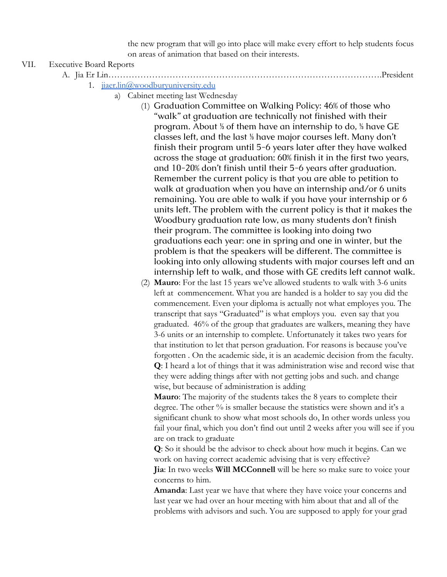the new program that will go into place will make every effort to help students focus on areas of animation that based on their interests.

### VII. Executive Board Reports

A. Jia Er Lin………………………………………………………………………………….President

- 1. [jiaer.lin@woodburyuniversity.edu](mailto:jiaer.lin@woodburyuniversity.edu)
	- a) Cabinet meeting last Wednesday
		- (1) Graduation Committee on Walking Policy: 46% of those who "walk" at graduation are technically not finished with their program. About ⅓ of them have an internship to do, ⅓ have GE classes left, and the last ⅓ have major courses left. Many don't finish their program until 5-6 years later after they have walked across the stage at graduation: 60% finish it in the first two years, and 10-20% don't finish until their 5-6 years after graduation. Remember the current policy is that you are able to petition to walk at graduation when you have an internship and/or 6 units remaining. You are able to walk if you have your internship or 6 units left. The problem with the current policy is that it makes the Woodbury graduation rate low, as many students don't finish their program. The committee is looking into doing two graduations each year: one in spring and one in winter, but the problem is that the speakers will be different. The committee is looking into only allowing students with major courses left and an internship left to walk, and those with GE credits left cannot walk.
		- (2) **Mauro**: For the last 15 years we've allowed students to walk with 3-6 units left at commencement. What you are handed is a holder to say you did the commencement. Even your diploma is actually not what employes you. The transcript that says "Graduated" is what employs you. even say that you graduated. 46% of the group that graduates are walkers, meaning they have 3-6 units or an internship to complete. Unfortunately it takes two years for that institution to let that person graduation. For reasons is because you've forgotten . On the academic side, it is an academic decision from the faculty. **Q**: I heard a lot of things that it was administration wise and record wise that they were adding things after with not getting jobs and such. and change wise, but because of administration is adding

**Mauro**: The majority of the students takes the 8 years to complete their degree. The other % is smaller because the statistics were shown and it's a significant chunk to show what most schools do, In other words unless you fail your final, which you don't find out until 2 weeks after you will see if you are on track to graduate

**Q**: So it should be the advisor to check about how much it begins. Can we work on having correct academic advising that is very effective? **Jia**: In two weeks **Will MCConnell** will be here so make sure to voice your concerns to him.

**Amanda**: Last year we have that where they have voice your concerns and last year we had over an hour meeting with him about that and all of the problems with advisors and such. You are supposed to apply for your grad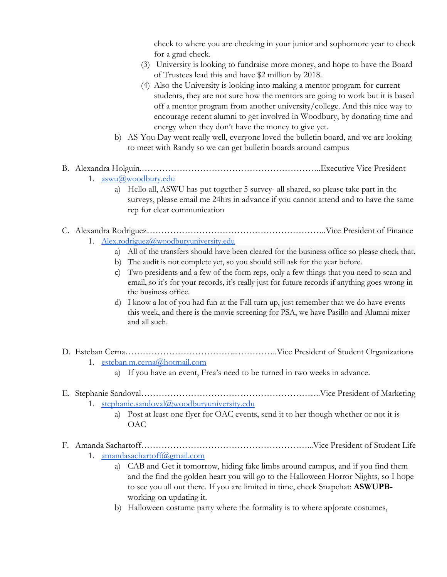check to where you are checking in your junior and sophomore year to check for a grad check.

- (3) University is looking to fundraise more money, and hope to have the Board of Trustees lead this and have \$2 million by 2018.
- (4) Also the University is looking into making a mentor program for current students, they are not sure how the mentors are going to work but it is based off a mentor program from another university/college. And this nice way to encourage recent alumni to get involved in Woodbury, by donating time and energy when they don't have the money to give yet.
- b) AS-You Day went really well, everyone loved the bulletin board, and we are looking to meet with Randy so we can get bulletin boards around campus

# B. Alexandra Holguin.……………………………………………………..Executive Vice President

- 1. [aswu@woodbury.edu](mailto:aswu@woodbury.edu)
	- a) Hello all, ASWU has put together 5 survey- all shared, so please take part in the surveys, please email me 24hrs in advance if you cannot attend and to have the same rep for clear communication

### C. Alexandra Rodriguez……………………………………………………..Vice President of Finance 1. [Alex.rodriguez@woodburyuniversity.edu](mailto:Alex.rodriguez@woodburyuniversity.edu)

- a) All of the transfers should have been cleared for the business office so please check that.
- b) The audit is not complete yet, so you should still ask for the year before.
- c) Two presidents and a few of the form reps, only a few things that you need to scan and email, so it's for your records, it's really just for future records if anything goes wrong in the business office.
- d) I know a lot of you had fun at the Fall turn up, just remember that we do have events this week, and there is the movie screening for PSA, we have Pasillo and Alumni mixer and all such.
- D. Esteban Cerna………………………………....…………..Vice President of Student Organizations
	- 1. [esteban.m.cerna@hotmail.com](mailto:esteban.m.cerna@hotmail.com)
		- a) If you have an event, Frea's need to be turned in two weeks in advance.

## E. Stephanie Sandoval……………………………………………………..Vice President of Marketing 1. [stephanie.sandoval@woodburyuniversity.edu](mailto:stephanie.sandoval@woodburyuniversity.edu)

a) Post at least one flyer for OAC events, send it to her though whether or not it is OAC

F. Amanda Sachartoff…………………………………………………...Vice President of Student Life 1. [amandasachartoff@gmail.com](mailto:amandasachartoff@gmail.com)

- a) CAB and Get it tomorrow, hiding fake limbs around campus, and if you find them and the find the golden heart you will go to the Halloween Horror Nights, so I hope to see you all out there. If you are limited in time, check Snapchat: **ASWUPB**working on updating it.
- b) Halloween costume party where the formality is to where ap[orate costumes,